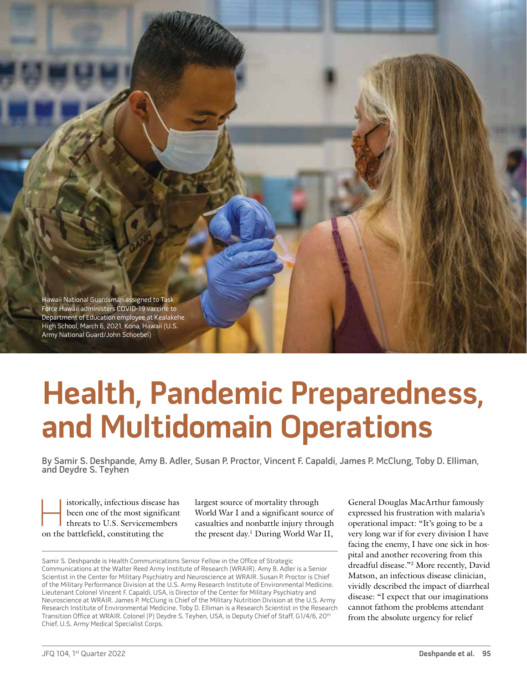Hawaii National Guardsman assigned to Task Force Hawaii administers COVID-19 vaccine to Department of Education employee at Kealakehe High School, March 6, 2021, Kona, Hawaii (U.S. Army National Guard/John Schoebel)

# **Health, Pandemic Preparedness, and Multidomain Operations**

By Samir S. Deshpande, Amy B. Adler, Susan P. Proctor, Vincent F. Capaldi, James P. McClung, Toby D. Elliman, and Deydre S. Teyhen

istorically, infectious disease has<br>been one of the most significant<br>threats to U.S. Servicemembers<br>on the battlefield constituting the been one of the most significant threats to U.S. Servicemembers on the battlefield, constituting the

largest source of mortality through World War I and a significant source of casualties and nonbattle injury through the present day.1 During World War II, General Douglas MacArthur famously expressed his frustration with malaria's operational impact: "It's going to be a very long war if for every division I have facing the enemy, I have one sick in hospital and another recovering from this dreadful disease."2 More recently, David Matson, an infectious disease clinician, vividly described the impact of diarrheal disease: "I expect that our imaginations cannot fathom the problems attendant from the absolute urgency for relief

Samir S. Deshpande is Health Communications Senior Fellow in the Office of Strategic Communications at the Walter Reed Army Institute of Research (WRAIR). Amy B. Adler is a Senior Scientist in the Center for Military Psychiatry and Neuroscience at WRAIR. Susan P. Proctor is Chief of the Military Performance Division at the U.S. Army Research Institute of Environmental Medicine. Lieutenant Colonel Vincent F. Capaldi, USA, is Director of the Center for Military Psychiatry and Neuroscience at WRAIR. James P. McClung is Chief of the Military Nutrition Division at the U.S. Army Research Institute of Environmental Medicine. Toby D. Elliman is a Research Scientist in the Research Transition Office at WRAIR. Colonel (P) Deydre S. Teyhen, USA, is Deputy Chief of Staff, G1/4/6, 20<sup>th</sup> Chief, U.S. Army Medical Specialist Corps.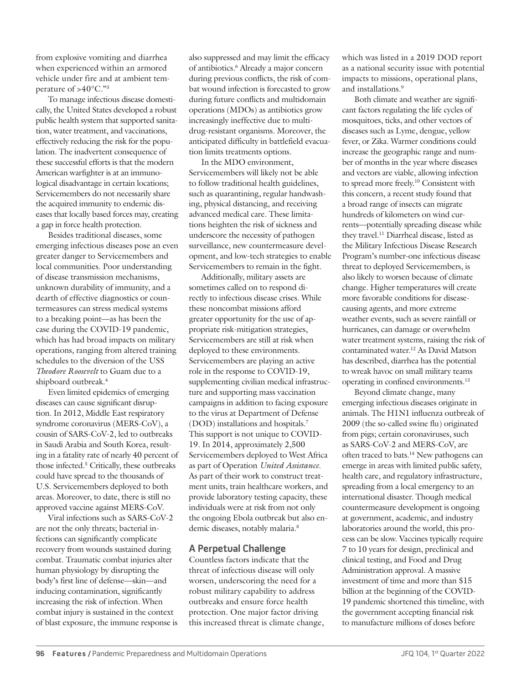from explosive vomiting and diarrhea when experienced within an armored vehicle under fire and at ambient temperature of >40°C."3

To manage infectious disease domestically, the United States developed a robust public health system that supported sanitation, water treatment, and vaccinations, effectively reducing the risk for the population. The inadvertent consequence of these successful efforts is that the modern American warfighter is at an immunological disadvantage in certain locations; Servicemembers do not necessarily share the acquired immunity to endemic diseases that locally based forces may, creating a gap in force health protection.

Besides traditional diseases, some emerging infectious diseases pose an even greater danger to Servicemembers and local communities. Poor understanding of disease transmission mechanisms, unknown durability of immunity, and a dearth of effective diagnostics or countermeasures can stress medical systems to a breaking point—as has been the case during the COVID-19 pandemic, which has had broad impacts on military operations, ranging from altered training schedules to the diversion of the USS *Theodore Roosevelt* to Guam due to a shipboard outbreak.4

Even limited epidemics of emerging diseases can cause significant disruption. In 2012, Middle East respiratory syndrome coronavirus (MERS-CoV), a cousin of SARS-CoV-2, led to outbreaks in Saudi Arabia and South Korea, resulting in a fatality rate of nearly 40 percent of those infected.5 Critically, these outbreaks could have spread to the thousands of U.S. Servicemembers deployed to both areas. Moreover, to date, there is still no approved vaccine against MERS-CoV.

Viral infections such as SARS-CoV-2 are not the only threats; bacterial infections can significantly complicate recovery from wounds sustained during combat. Traumatic combat injuries alter human physiology by disrupting the body's first line of defense—skin—and inducing contamination, significantly increasing the risk of infection. When combat injury is sustained in the context of blast exposure, the immune response is

also suppressed and may limit the efficacy of antibiotics.<sup>6</sup> Already a major concern during previous conflicts, the risk of combat wound infection is forecasted to grow during future conflicts and multidomain operations (MDOs) as antibiotics grow increasingly ineffective due to multidrug-resistant organisms. Moreover, the anticipated difficulty in battlefield evacuation limits treatments options.

In the MDO environment, Servicemembers will likely not be able to follow traditional health guidelines, such as quarantining, regular handwashing, physical distancing, and receiving advanced medical care. These limitations heighten the risk of sickness and underscore the necessity of pathogen surveillance, new countermeasure development, and low-tech strategies to enable Servicemembers to remain in the fight.

Additionally, military assets are sometimes called on to respond directly to infectious disease crises. While these noncombat missions afford greater opportunity for the use of appropriate risk-mitigation strategies, Servicemembers are still at risk when deployed to these environments. Servicemembers are playing an active role in the response to COVID-19, supplementing civilian medical infrastructure and supporting mass vaccination campaigns in addition to facing exposure to the virus at Department of Defense (DOD) installations and hospitals.7 This support is not unique to COVID-19. In 2014, approximately 2,500 Servicemembers deployed to West Africa as part of Operation *United Assistance*. As part of their work to construct treatment units, train healthcare workers, and provide laboratory testing capacity, these individuals were at risk from not only the ongoing Ebola outbreak but also endemic diseases, notably malaria.<sup>8</sup>

# **A Perpetual Challenge**

Countless factors indicate that the threat of infectious disease will only worsen, underscoring the need for a robust military capability to address outbreaks and ensure force health protection. One major factor driving this increased threat is climate change, which was listed in a 2019 DOD report as a national security issue with potential impacts to missions, operational plans, and installations.9

Both climate and weather are significant factors regulating the life cycles of mosquitoes, ticks, and other vectors of diseases such as Lyme, dengue, yellow fever, or Zika. Warmer conditions could increase the geographic range and number of months in the year where diseases and vectors are viable, allowing infection to spread more freely.10 Consistent with this concern, a recent study found that a broad range of insects can migrate hundreds of kilometers on wind currents—potentially spreading disease while they travel.<sup>11</sup> Diarrheal disease, listed as the Military Infectious Disease Research Program's number-one infectious disease threat to deployed Servicemembers, is also likely to worsen because of climate change. Higher temperatures will create more favorable conditions for diseasecausing agents, and more extreme weather events, such as severe rainfall or hurricanes, can damage or overwhelm water treatment systems, raising the risk of contaminated water.12 As David Matson has described, diarrhea has the potential to wreak havoc on small military teams operating in confined environments.13

Beyond climate change, many emerging infectious diseases originate in animals. The H1N1 influenza outbreak of 2009 (the so-called swine flu) originated from pigs; certain coronaviruses, such as SARS-CoV-2 and MERS-CoV, are often traced to bats.14 New pathogens can emerge in areas with limited public safety, health care, and regulatory infrastructure, spreading from a local emergency to an international disaster. Though medical countermeasure development is ongoing at government, academic, and industry laboratories around the world, this process can be slow. Vaccines typically require 7 to 10 years for design, preclinical and clinical testing, and Food and Drug Administration approval. A massive investment of time and more than \$15 billion at the beginning of the COVID-19 pandemic shortened this timeline, with the government accepting financial risk to manufacture millions of doses before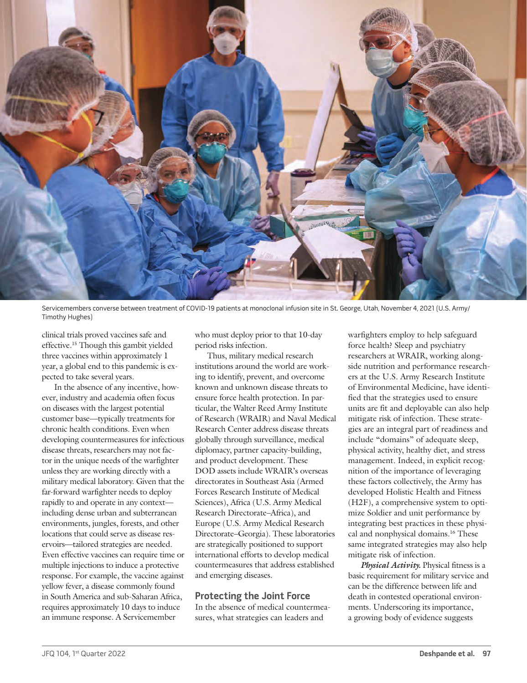

Servicemembers converse between treatment of COVID-19 patients at monoclonal infusion site in St. George, Utah, November 4, 2021 (U.S. Army/ Timothy Hughes)

clinical trials proved vaccines safe and effective.15 Though this gambit yielded three vaccines within approximately 1 year, a global end to this pandemic is expected to take several years.

In the absence of any incentive, however, industry and academia often focus on diseases with the largest potential customer base—typically treatments for chronic health conditions. Even when developing countermeasures for infectious disease threats, researchers may not factor in the unique needs of the warfighter unless they are working directly with a military medical laboratory. Given that the far-forward warfighter needs to deploy rapidly to and operate in any context including dense urban and subterranean environments, jungles, forests, and other locations that could serve as disease reservoirs—tailored strategies are needed. Even effective vaccines can require time or multiple injections to induce a protective response. For example, the vaccine against yellow fever, a disease commonly found in South America and sub-Saharan Africa, requires approximately 10 days to induce an immune response. A Servicemember

who must deploy prior to that 10-day period risks infection.

Thus, military medical research institutions around the world are working to identify, prevent, and overcome known and unknown disease threats to ensure force health protection. In particular, the Walter Reed Army Institute of Research (WRAIR) and Naval Medical Research Center address disease threats globally through surveillance, medical diplomacy, partner capacity-building, and product development. These DOD assets include WRAIR's overseas directorates in Southeast Asia (Armed Forces Research Institute of Medical Sciences), Africa (U.S. Army Medical Research Directorate–Africa), and Europe (U.S. Army Medical Research Directorate–Georgia). These laboratories are strategically positioned to support international efforts to develop medical countermeasures that address established and emerging diseases.

# **Protecting the Joint Force**

In the absence of medical countermeasures, what strategies can leaders and

warfighters employ to help safeguard force health? Sleep and psychiatry researchers at WRAIR, working alongside nutrition and performance researchers at the U.S. Army Research Institute of Environmental Medicine, have identified that the strategies used to ensure units are fit and deployable can also help mitigate risk of infection. These strategies are an integral part of readiness and include "domains" of adequate sleep, physical activity, healthy diet, and stress management. Indeed, in explicit recognition of the importance of leveraging these factors collectively, the Army has developed Holistic Health and Fitness (H2F), a comprehensive system to optimize Soldier and unit performance by integrating best practices in these physical and nonphysical domains.16 These same integrated strategies may also help mitigate risk of infection.

*Physical Activity.* Physical fitness is a basic requirement for military service and can be the difference between life and death in contested operational environments. Underscoring its importance, a growing body of evidence suggests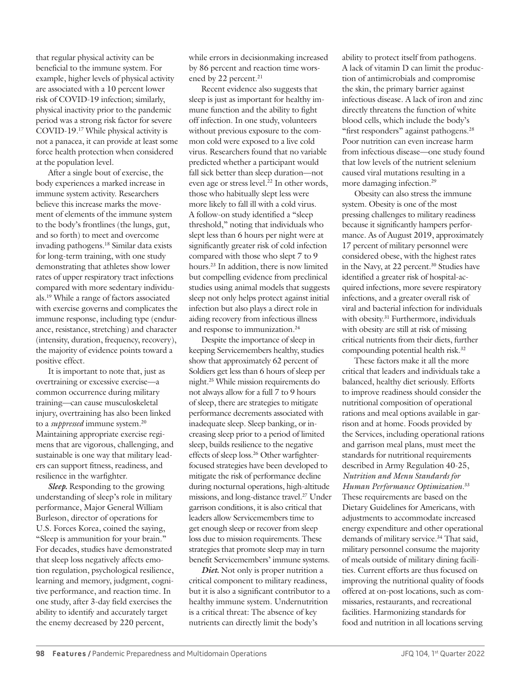that regular physical activity can be beneficial to the immune system. For example, higher levels of physical activity are associated with a 10 percent lower risk of COVID-19 infection; similarly, physical inactivity prior to the pandemic period was a strong risk factor for severe COVID-19.17 While physical activity is not a panacea, it can provide at least some force health protection when considered at the population level.

After a single bout of exercise, the body experiences a marked increase in immune system activity. Researchers believe this increase marks the movement of elements of the immune system to the body's frontlines (the lungs, gut, and so forth) to meet and overcome invading pathogens.18 Similar data exists for long-term training, with one study demonstrating that athletes show lower rates of upper respiratory tract infections compared with more sedentary individuals.19 While a range of factors associated with exercise governs and complicates the immune response, including type (endurance, resistance, stretching) and character (intensity, duration, frequency, recovery), the majority of evidence points toward a positive effect.

It is important to note that, just as overtraining or excessive exercise—a common occurrence during military training—can cause musculoskeletal injury, overtraining has also been linked to a *suppressed* immune system.20 Maintaining appropriate exercise regimens that are vigorous, challenging, and sustainable is one way that military leaders can support fitness, readiness, and resilience in the warfighter.

*Sleep.* Responding to the growing understanding of sleep's role in military performance, Major General William Burleson, director of operations for U.S. Forces Korea, coined the saying, "Sleep is ammunition for your brain." For decades, studies have demonstrated that sleep loss negatively affects emotion regulation, psychological resilience, learning and memory, judgment, cognitive performance, and reaction time. In one study, after 3-day field exercises the ability to identify and accurately target the enemy decreased by 220 percent,

while errors in decisionmaking increased by 86 percent and reaction time worsened by 22 percent.<sup>21</sup>

Recent evidence also suggests that sleep is just as important for healthy immune function and the ability to fight off infection. In one study, volunteers without previous exposure to the common cold were exposed to a live cold virus. Researchers found that no variable predicted whether a participant would fall sick better than sleep duration—not even age or stress level.<sup>22</sup> In other words, those who habitually slept less were more likely to fall ill with a cold virus. A follow-on study identified a "sleep threshold," noting that individuals who slept less than 6 hours per night were at significantly greater risk of cold infection compared with those who slept 7 to 9 hours.23 In addition, there is now limited but compelling evidence from preclinical studies using animal models that suggests sleep not only helps protect against initial infection but also plays a direct role in aiding recovery from infectious illness and response to immunization.24

Despite the importance of sleep in keeping Servicemembers healthy, studies show that approximately 62 percent of Soldiers get less than 6 hours of sleep per night.25 While mission requirements do not always allow for a full 7 to 9 hours of sleep, there are strategies to mitigate performance decrements associated with inadequate sleep. Sleep banking, or increasing sleep prior to a period of limited sleep, builds resilience to the negative effects of sleep loss.<sup>26</sup> Other warfighterfocused strategies have been developed to mitigate the risk of performance decline during nocturnal operations, high-altitude missions, and long-distance travel.27 Under garrison conditions, it is also critical that leaders allow Servicemembers time to get enough sleep or recover from sleep loss due to mission requirements. These strategies that promote sleep may in turn benefit Servicemembers' immune systems.

*Diet.* Not only is proper nutrition a critical component to military readiness, but it is also a significant contributor to a healthy immune system. Undernutrition is a critical threat: The absence of key nutrients can directly limit the body's

ability to protect itself from pathogens. A lack of vitamin D can limit the production of antimicrobials and compromise the skin, the primary barrier against infectious disease. A lack of iron and zinc directly threatens the function of white blood cells, which include the body's "first responders" against pathogens.<sup>28</sup> Poor nutrition can even increase harm from infectious disease—one study found that low levels of the nutrient selenium caused viral mutations resulting in a more damaging infection.29

Obesity can also stress the immune system. Obesity is one of the most pressing challenges to military readiness because it significantly hampers performance. As of August 2019, approximately 17 percent of military personnel were considered obese, with the highest rates in the Navy, at 22 percent.<sup>30</sup> Studies have identified a greater risk of hospital-acquired infections, more severe respiratory infections, and a greater overall risk of viral and bacterial infection for individuals with obesity.<sup>31</sup> Furthermore, individuals with obesity are still at risk of missing critical nutrients from their diets, further compounding potential health risk.<sup>32</sup>

These factors make it all the more critical that leaders and individuals take a balanced, healthy diet seriously. Efforts to improve readiness should consider the nutritional composition of operational rations and meal options available in garrison and at home. Foods provided by the Services, including operational rations and garrison meal plans, must meet the standards for nutritional requirements described in Army Regulation 40-25, *Nutrition and Menu Standards for Human Performance Optimization*. 33 These requirements are based on the Dietary Guidelines for Americans, with adjustments to accommodate increased energy expenditure and other operational demands of military service.<sup>34</sup> That said, military personnel consume the majority of meals outside of military dining facilities. Current efforts are thus focused on improving the nutritional quality of foods offered at on-post locations, such as commissaries, restaurants, and recreational facilities. Harmonizing standards for food and nutrition in all locations serving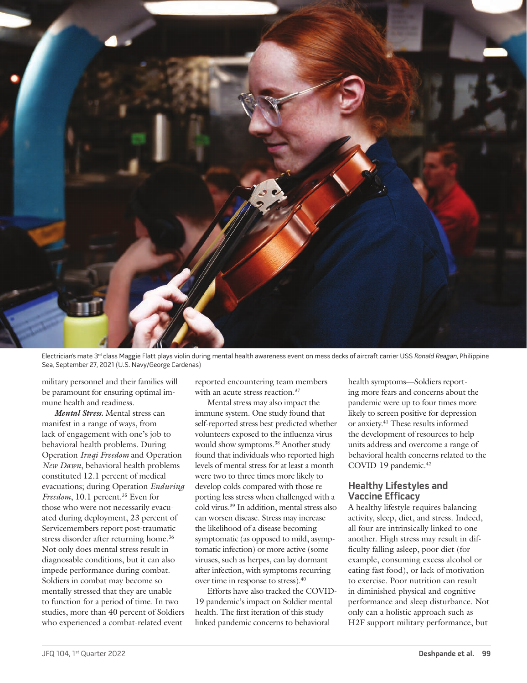

Electrician's mate 3<sup>rd</sup> class Maggie Flatt plays violin during mental health awareness event on mess decks of aircraft carrier USS Ronald Reagan, Philippine Sea, September 27, 2021 (U.S. Navy/George Cardenas)

military personnel and their families will be paramount for ensuring optimal immune health and readiness.

*Mental Stress.* Mental stress can manifest in a range of ways, from lack of engagement with one's job to behavioral health problems. During Operation *Iraqi Freedom* and Operation *New Dawn*, behavioral health problems constituted 12.1 percent of medical evacuations; during Operation *Enduring Freedom*, 10.1 percent.<sup>35</sup> Even for those who were not necessarily evacuated during deployment, 23 percent of Servicemembers report post-traumatic stress disorder after returning home.<sup>36</sup> Not only does mental stress result in diagnosable conditions, but it can also impede performance during combat. Soldiers in combat may become so mentally stressed that they are unable to function for a period of time. In two studies, more than 40 percent of Soldiers who experienced a combat-related event

reported encountering team members with an acute stress reaction.<sup>37</sup>

Mental stress may also impact the immune system. One study found that self-reported stress best predicted whether volunteers exposed to the influenza virus would show symptoms.<sup>38</sup> Another study found that individuals who reported high levels of mental stress for at least a month were two to three times more likely to develop colds compared with those reporting less stress when challenged with a cold virus.39 In addition, mental stress also can worsen disease. Stress may increase the likelihood of a disease becoming symptomatic (as opposed to mild, asymptomatic infection) or more active (some viruses, such as herpes, can lay dormant after infection, with symptoms recurring over time in response to stress).40

Efforts have also tracked the COVID-19 pandemic's impact on Soldier mental health. The first iteration of this study linked pandemic concerns to behavioral

health symptoms—Soldiers reporting more fears and concerns about the pandemic were up to four times more likely to screen positive for depression or anxiety.41 These results informed the development of resources to help units address and overcome a range of behavioral health concerns related to the COVID-19 pandemic.<sup>42</sup>

# **Healthy Lifestyles and Vaccine Efficacy**

A healthy lifestyle requires balancing activity, sleep, diet, and stress. Indeed, all four are intrinsically linked to one another. High stress may result in difficulty falling asleep, poor diet (for example, consuming excess alcohol or eating fast food), or lack of motivation to exercise. Poor nutrition can result in diminished physical and cognitive performance and sleep disturbance. Not only can a holistic approach such as H2F support military performance, but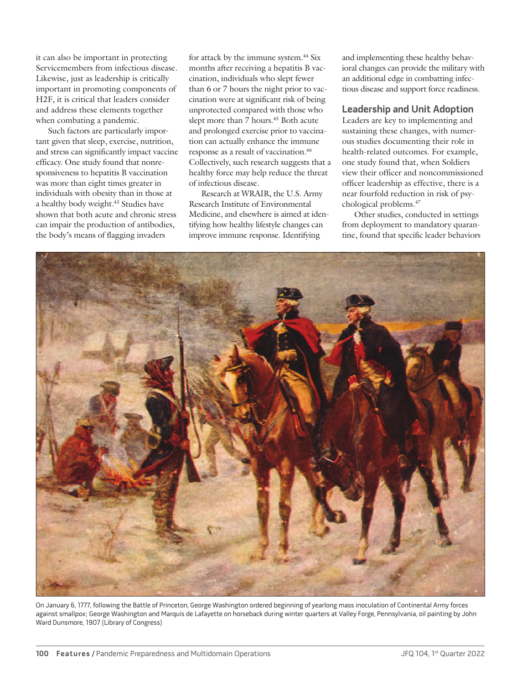it can also be important in protecting Servicemembers from infectious disease. Likewise, just as leadership is critically important in promoting components of H2F, it is critical that leaders consider and address these elements together when combating a pandemic.

Such factors are particularly important given that sleep, exercise, nutrition, and stress can significantly impact vaccine efficacy. One study found that nonresponsiveness to hepatitis B vaccination was more than eight times greater in individuals with obesity than in those at a healthy body weight.<sup>43</sup> Studies have shown that both acute and chronic stress can impair the production of antibodies, the body's means of flagging invaders

for attack by the immune system.<sup>44</sup> Six months after receiving a hepatitis B vaccination, individuals who slept fewer than 6 or 7 hours the night prior to vaccination were at significant risk of being unprotected compared with those who slept more than 7 hours.<sup>45</sup> Both acute and prolonged exercise prior to vaccination can actually enhance the immune response as a result of vaccination.46 Collectively, such research suggests that a healthy force may help reduce the threat of infectious disease.

Research at WRAIR, the U.S. Army Research Institute of Environmental Medicine, and elsewhere is aimed at identifying how healthy lifestyle changes can improve immune response. Identifying

and implementing these healthy behavioral changes can provide the military with an additional edge in combatting infectious disease and support force readiness.

# **Leadership and Unit Adoption**

Leaders are key to implementing and sustaining these changes, with numerous studies documenting their role in health-related outcomes. For example, one study found that, when Soldiers view their officer and noncommissioned officer leadership as effective, there is a near fourfold reduction in risk of psychological problems.47

Other studies, conducted in settings from deployment to mandatory quarantine, found that specific leader behaviors



On January 6, 1777, following the Battle of Princeton, George Washington ordered beginning of yearlong mass inoculation of Continental Army forces against smallpox; George Washington and Marquis de Lafayette on horseback during winter quarters at Valley Forge, Pennsylvania, oil painting by John Ward Dunsmore, 1907 (Library of Congress)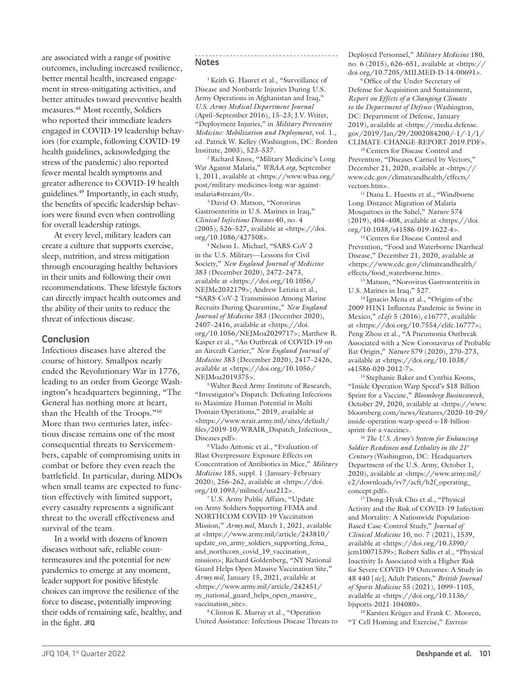are associated with a range of positive outcomes, including increased resilience, better mental health, increased engagement in stress-mitigating activities, and better attitudes toward preventive health measures.48 Most recently, Soldiers who reported their immediate leaders engaged in COVID-19 leadership behaviors (for example, following COVID-19 health guidelines, acknowledging the stress of the pandemic) also reported fewer mental health symptoms and greater adherence to COVID-19 health guidelines.49 Importantly, in each study, the benefits of specific leadership behaviors were found even when controlling for overall leadership ratings.

At every level, military leaders can create a culture that supports exercise, sleep, nutrition, and stress mitigation through encouraging healthy behaviors in their units and following their own recommendations. These lifestyle factors can directly impact health outcomes and the ability of their units to reduce the threat of infectious disease.

### **Conclusion**

Infectious diseases have altered the course of history. Smallpox nearly ended the Revolutionary War in 1776, leading to an order from George Washington's headquarters beginning, "The General has nothing more at heart, than the Health of the Troops."50 More than two centuries later, infectious disease remains one of the most consequential threats to Servicemembers, capable of compromising units in combat or before they even reach the battlefield. In particular, during MDOs when small teams are expected to function effectively with limited support, every casualty represents a significant threat to the overall effectiveness and survival of the team.

In a world with dozens of known diseases without safe, reliable countermeasures and the potential for new pandemics to emerge at any moment, leader support for positive lifestyle choices can improve the resilience of the force to disease, potentially improving their odds of remaining safe, healthy, and in the fight. **JFQ**

#### **Notes**

<sup>1</sup> Keith G. Hauret et al., "Surveillance of Disease and Nonbattle Injuries During U.S. Army Operations in Afghanistan and Iraq," *U.S. Army Medical Department Journal* (April–September 2016), 15–23; J.V. Writer, "Deployment Injuries," in *Military Preventive Medicine: Mobilization and Deployment*, vol. 1., ed. Patrick W. Kelley (Washington, DC: Borden Institute, 2003), 523–537.

2 Richard Knox, "Military Medicine's Long War Against Malaria," *WBAA.org*, September 1, 2011, available at <https://www.wbaa.org/ post/military-medicines-long-war-againstmalaria#stream/0>.

3 David O. Matson, "Norovirus Gastroenteritis in U.S. Marines in Iraq," *Clinical Infectious Diseases* 40, no. 4 (2005), 526–527, available at <https://doi. org/10.1086/427508>.

4 Nelson L. Michael, "SARS-CoV-2 in the U.S. Military—Lessons for Civil Society," *New England Journal of Medicine* 383 (December 2020), 2472–2473, available at <https://doi.org/10.1056/ NEJMe2032179>; Andrew Letizia et al., "SARS-CoV-2 Transmission Among Marine Recruits During Quarantine," *New England Journal of Medicine* 383 (December 2020), 2407–2416, available at <https://doi. org/10.1056/NEJMoa2029717>; Matthew R. Kasper et al., "An Outbreak of COVID-19 on an Aircraft Carrier," *New England Journal of Medicine* 383 (December 2020), 2417–2426, available at <https://doi.org/10.1056/ NEJMoa2019375>.

5 Walter Reed Army Institute of Research, "Investigator's Dispatch: Defeating Infections to Maximize Human Potential in Multi Domain Operations," 2019, available at <https://www.wrair.army.mil/sites/default/ files/2019-10/WRAIR\_Dispatch\_Infectious\_ Diseases.pdf>.

6 Vlado Antonic et al., "Evaluation of Blast Overpressure Exposure Effects on Concentration of Antibiotics in Mice," *Military Medicine* 185, suppl. 1 (January–February 2020), 256–262, available at <https://doi. org/10.1093/milmed/usz212>*.*

7 U.S. Army Public Affairs, "Update on Army Soldiers Supporting FEMA and NORTHCOM COVID-19 Vaccination Mission," *Army.mil*, March 1, 2021, available at <https://www.army.mil/article/243810/ update\_on\_army\_soldiers\_supporting\_fema\_ and\_northcom\_covid\_19\_vaccination\_ mission>; Richard Goldenberg, "NY National Guard Helps Open Massive Vaccination Site," *Army.mil*, January 15, 2021, available at <https://www.army.mil/article/242451/ ny\_national\_guard\_helps\_open\_massive\_ vaccination\_site>.

8 Clinton K. Murray et al., "Operation United Assistance: Infectious Disease Threats to Deployed Personnel," *Military Medicine* 180, no. 6 (2015), 626–651, available at <https:// doi.org/10.7205/MILMED-D-14-00691>.

9 Office of the Under Secretary of Defense for Acquisition and Sustainment, *Report on Effects of a Changing Climate to the Department of Defense* (Washington, DC: Department of Defense, January 2019), available at <https://media.defense. gov/2019/Jan/29/2002084200/-1/-1/1/ CLIMATE-CHANGE-REPORT-2019.PDF>.

10 Centers for Disease Control and Prevention, "Diseases Carried by Vectors," December 21, 2020, available at <https:// www.cdc.gov/climateandhealth/effects/ vectors.htm>.

<sup>11</sup> Diana L. Huestis et al., "Windborne Long-Distance Migration of Malaria Mosquitoes in the Sahel," *Nature* 574  $(2019)$ , 404–408, available at <https://doi. org/10.1038/s41586-019-1622-4>.

12 Centers for Disease Control and Prevention, "Food and Waterborne Diarrheal Disease," December 21, 2020, available at <https://www.cdc.gov/climateandhealth/ effects/food\_waterborne.htm>.

13 Matson, "Norovirus Gastroenteritis in U.S. Marines in Iraq," 527.

14 Ignacio Mena et al., "Origins of the 2009 H1N1 Influenza Pandemic in Swine in Mexico," *eLife* 5 (2016), e16777, available at <https://doi.org/10.7554/elife.16777>; Peng Zhou et al., "A Pneumonia Outbreak Associated with a New Coronavirus of Probable Bat Origin," *Nature* 579 (2020), 270–273, available at <https://doi.org/10.1038/ s41586-020-2012-7>.

15 Stephanie Baker and Cynthia Koons, "Inside Operation Warp Speed's \$18 Billion Sprint for a Vaccine," *Bloomberg Businessweek*, October 29, 2020, available at <https://www. bloomberg.com/news/features/2020-10-29/ inside-operation-warp-speed-s-18-billionsprint-for-a-vaccine>.

<sup>16</sup>*The U.S. Army's System for Enhancing Soldier Readiness and Lethality in the 21st Century* (Washington, DC: Headquarters Department of the U.S. Army, October 1, 2020), available at <https://www.army.mil/ e2/downloads/rv7/acft/h2f\_operating\_ concept.pdf>.

<sup>17</sup> Dong-Hyuk Cho et al., "Physical Activity and the Risk of COVID-19 Infection and Mortality: A Nationwide Population-Based Case-Control Study," *Journal of Clinical Medicine* 10, no. 7 (2021), 1539, available at <https://doi.org/10.3390/ jcm10071539>; Robert Sallis et al., "Physical Inactivity Is Associated with a Higher Risk for Severe COVID-19 Outcomes: A Study in 48 440 [*sic*]; Adult Patients," *British Journal of Sports Medicine* 55 (2021), 1099–1105, available at <https://doi.org/10.1136/ bjsports-2021-104080>.

18 Karsten Krüger and Frank C. Mooren, "T Cell Homing and Exercise," *Exercise*